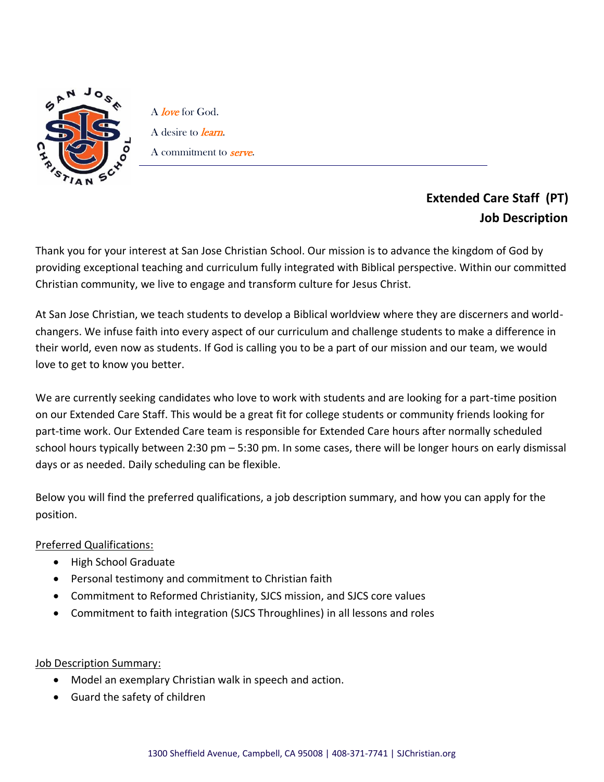

A *love* for God. A desire to *learn*. A commitment to **serve**.

## **Extended Care Staff (PT) Job Description**

Thank you for your interest at San Jose Christian School. Our mission is to advance the kingdom of God by providing exceptional teaching and curriculum fully integrated with Biblical perspective. Within our committed Christian community, we live to engage and transform culture for Jesus Christ.

At San Jose Christian, we teach students to develop a Biblical worldview where they are discerners and worldchangers. We infuse faith into every aspect of our curriculum and challenge students to make a difference in their world, even now as students. If God is calling you to be a part of our mission and our team, we would love to get to know you better.

We are currently seeking candidates who love to work with students and are looking for a part-time position on our Extended Care Staff. This would be a great fit for college students or community friends looking for part-time work. Our Extended Care team is responsible for Extended Care hours after normally scheduled school hours typically between 2:30 pm – 5:30 pm. In some cases, there will be longer hours on early dismissal days or as needed. Daily scheduling can be flexible.

Below you will find the preferred qualifications, a job description summary, and how you can apply for the position.

## Preferred Qualifications:

- High School Graduate
- Personal testimony and commitment to Christian faith
- Commitment to Reformed Christianity, SJCS mission, and SJCS core values
- Commitment to faith integration (SJCS Throughlines) in all lessons and roles

## Job Description Summary:

- Model an exemplary Christian walk in speech and action.
- Guard the safety of children